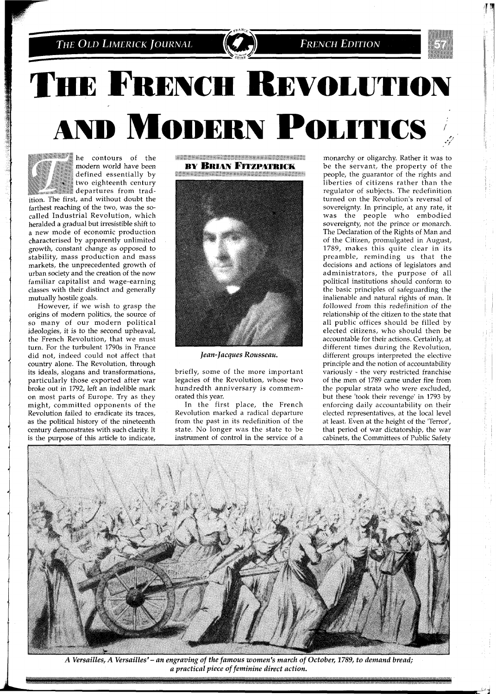

# THE FRENCH REVOLUTION **AND MODERN POLITICS**



he contours of the modern world have been defined essentially by two eighteenth century

**departures** from tradition. The first, and without doubt the farthest reaching of the two, was the socalled Industrial Revolution, which heralded a gradual but irresistible shift to a new mode of economic production characterised by apparently unlimited gowth, constant change as opposed to stability, mass production and mass markets, the unprecedented growth of urban society and the creation of the now familiar capitalist and wage-earning classes with their distinct and generally mutually hostile goals.

However, if we wish to grasp the origins of modern politics, the source of so many of our modern political ideologies, it is to the second upheaval, the French Revolution, that we must turn. For the turbulent 1790s in France did not, indeed could not affect that country alone. The Revolution, through its ideals, slogans and transformations, particularly those exported after war broke out in 1792, left an indelible mark on most parts of Europe. Try as they might, committed opponents of the Revolution failed to eradicate its traces, as the political history of the nineteenth century demonstrates with such clarity It is the purpose of this article to indicate,

**WARDEN COMMUNISTIES AND ALL COMMUNISTIES BY BRIAN FITZPATRICK** 



*Jean-Jacques Ronsseau.* 

briefly, some of the more important legacies of the Revolution, whose two hundredth anniversary is commemorated this year.

In the first place, the French Revolution marked a radical departure from the past in its redefinition of the state. No longer was the state to be instrument of control in the service of a

monarchy or oligarchy. Rather it was to be the servant, the property of the people, the guarantor of the rights and liberties of citizens rather than the regulator of subjects. The redefinition turned on the Revolution's reversal of sovereignty. In principle, at any rate, it was the people who embodied sovereignty, not the prince or monarch. The Declaration of the Rights of Man and of the Citizen, promulgated in August, 1789, makes this quite clear in its preamble, reminding us that the decisions and actions of legislators and administrators, the purpose of all political institutions should conform to the basic principles of safeguarding the inalienable and natural rights of man. It followed from this redefinition of the relationship of the citizen to the state that all public offices should be filled by elected citizens. who should then be accountable for their actions. Certainly, at different times during the Revolution, different groups interpreted the elective principle and the notion of accountability variously - the very restricted franchise of the men of 1789 came under fire from the popular strata who were excluded, but these 'took their revenge' in 1793 by enforcing daily accountability on their elected representatives, at the local level at least. Even at the height of the 'Terror', that period of war dictatorship, the war cabinets, the Committees of Public Safety



*A Versailles, A Versailles'- an engraving of the famous women's march of October, 1789, to demand bread; a practical piece of feminine direct action.*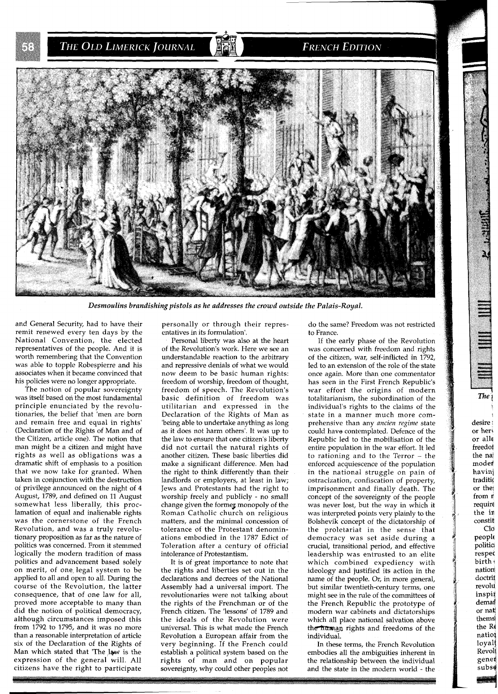THE OLD LIMERICK JOURNAL

#### **FRENCH EDITION**



Desmoulins brandishing pistols as he addresses the crowd outside the Palais-Royal.

and General Security, had to have their remit renewed every ten days by the National Convention, the elected representatives of the people. And it is worth remembering that the Convention was able to topple Robespierre and his associates when it became convinced that his policies were no longer appropriate.

The notion of popular sovereignty was itself based on the most fundamental principle enunciated by the revolutionaries, the belief that 'men are born and remain free and equal in rights' (Declaration of the Rights of Man and of the Citizen, article one). The notion that man might be a citizen and might have rights as well as obligations was a dramatic shift of emphasis to a position that we now take for granted. When taken in conjunction with the destruction ot privilege announced on the night of 4 August, 1789, and defined on 11 August somewhat less liberally, this proclamation of equal and inalienable rights was the cornerstone of the French Revolution, and was a truly revolutionary proposition as far as the nature of politics was concerned. From it stemmed logically the modern tradition of mass politics and advancement based solely on merit, of one legal system to be applied to all and open to all. During the course of the Revolution, the latter consequence, that of one law for all, proved more acceptable to many than did the notion of political democracy, although circumstances imposed this from 1792 to 1795, and it was no more than a reasonable interpretation of article six of the Declaration of the Rights of Man which stated that 'The law is the expression of the general will. All citizens have the right to participate

personally or through their representatives in its formulation'.

Personal liberty was also at the heart of the Revolution's work. Here we see an understandable reaction to the arbitrary and repressive denials of what we would now deem to be basic human rights: freedom of worship, freedom of thought, freedom of speech. The Revolution's basic definition of freedom was utilitarian and expressed in the Declaration of the Rights of Man as 'being able to undertake anything as long as it does not harm others'. It was up to the law to ensure that one citizen's liberty did not curtail the natural rights of another citizen. These basic liberties did make a significant difference. Men had the right to think differently than their landlords or employers, at least in law; Jews and Protestants had the right to worship freely and publicly - no small change given the former monopoly of the Roman Catholic church on religious matters, and the minimal concession of tolerance of the Protestant denominations embodied in the 1787 Edict of Toleration after a century of official intolerance of Protestantism.

It is of great importance to note that the rights and liberties set out in the declarations and decrees of the National Assembly had a universal import. The revolutionaries were not talking about the rights of the Frenchman or of the French citizen. The 'lessons' of 1789 and the ideals of the Revolution were universal. This is what made the French Revolution a European affair from the very beginning. If the French could establish a political system based on the rights of man and on popular sovereignty, why could other peoples not

do the same? Freedom was not restricted to France.

If the early phase of the Revolution was concerned with freedom and rights of the citizen, war, self-inflicted in 1792, led to an extension of the role of the state once again. More than one commentator has seen in the First French Republic's war effort the origins of modern totalitarianism, the subordination of the individual's rights to the claims of the state in a manner much more comprehensive than any *ancien regime* state could have contemplated. Defence of the Republic led to the mobilisation of the entire population in the war effort. It led to rationing and to the Terror  $-$  the enforced acquiescence of the population in the national struggle on pain of ostracization, confiscation of property, imprisonment and finally death. The concept of the sovereignty of the people was never lost, but the way in which it was interpreted points very plainly to the Bolshevik concept of the dictatorship of the proletariat in the sense that democracy was set aside during a crucial, transitional period, and effective leadership was entrusted to an elite which combined expediency with ideology and justified its action in the name of the people. Or, in more general, but similar twentieth-century terms, one might see in the rule of the committees of the French Republic the prototype of modern war cabinets and dictatorships which all place national salvation above the human rights and freedoms of the individual.

In these terms, the French Revolution embodies all the ambiguities inherent in the relationship between the individual and the state in the modern world - the

 $The<sup>1</sup>$ 

I desire ; or her<sup>§</sup> or alle freedof the na modei havini traditi or the! from r require the in constit C<sub>lo</sub> people politici respec birth **<sup>4</sup>** nation' doctrif revold inspij demat or nat themsl the R4 natio! loyal Revoli gened subs4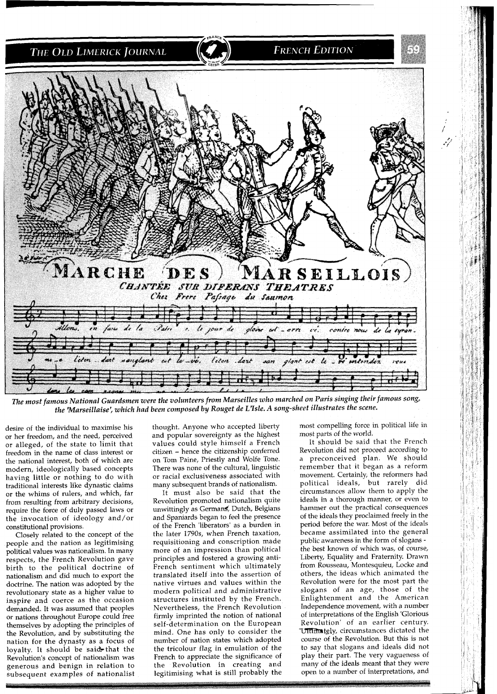

The most famous National Guardsmen were the volunteers from Marseilles who marched on Paris singing their famous song, the 'Marseillaise', which had been composed by Rouget de L7sle. **A** song-sheet illustrates the scene.

desire of the individual to maximise his or her freedom, and the need, perceived or alleged, of the state to limit that freedom in the name of class interest or the national interest, both of which are modern, ideologically based concepts having little or nothing to do with traditional interests like dynastic claims or the whims of rulers, and which, far from resulting from arbitrary decisions, require the force of duly passed laws or the invocation of ideology and/or constitutional provisions.

Closely related to the concept of the people and the nation as legitimising political values was nationalism. In many respects, the French Revolution gave birth to the political doctrine of nationalism and did much to export the doctrine. The nation was adopted by the revolutionary state as a higher value to inspire and coerce as the occasion demanded. It was assumed that peoples or nations throughout Europe could free themselves by adopting the principles of the Revolution, and by substituting the nation for the dynasty as a focus of loyalty. It should be said that the Revolution's concept of nationalism was generous and benign in relation to subsequent examples of nationalist thought. Anyone who accepted liberty and popular sovereignty as the highest values could style himself a French citizen - hence the citizenship conferred on Tom Paine, Priestly and Wolfe Tone. There was none of the cultural, linguistic or racial exclusiveness associated with many subsequent brands of nationalism.

It must also be said that the Revolution promoted nationalism quite unwittingly as Germans, Dutch, Belgians and Spaniards began to feel the presence of the French 'liberators' as a burden in the later 1790s, when French taxation, requisitioning and conscription made more of an impression than political principles and fostered a growing anti-French sentiment which ultimately translated itself into the assertion of native virtues and values within the modern political and administrative structures instituted by the French. Nevertheless, the French Revolution firmly imprinted the notion of national self-determination on the European mind. One has only to consider the number of nation states which adopted the tricolour flag in emulation of the French to appreciate the significance of the Revolution in creating and legitimising what is still probably the

most compelling force in political life in most parts of the world.

It should be said that the French Revolution did not proceed according to a preconceived plan. We should remember that it began as a reform movement. Certainly, the reformers had political ideals, but rarely did circumstances allow them to apply the ideals in a thorough manner, or even to hammer out the practical consequences of the ideals they proclaimed freely in the period before the war. Most of the ideals became assimilated into the general public awareness in the form of slogans the best known of which was, of course, Liberty, Equality and Fraternity. Drawn from Rousseau, Montesquieu, Locke and others, the ideas which animated the Revolution were for the most part the slogans of an age, those of the Enlightenment and the American Independence movement, with a number of interpretations of the English 'Glorious Revolution' of an earlier century. Ultimately, circumstances dictated the course of the Revolution. But this is not to say that slogans and ideals did not play their part. The very vagueness of many of the ideals meant that they were open to a number of interpretations, and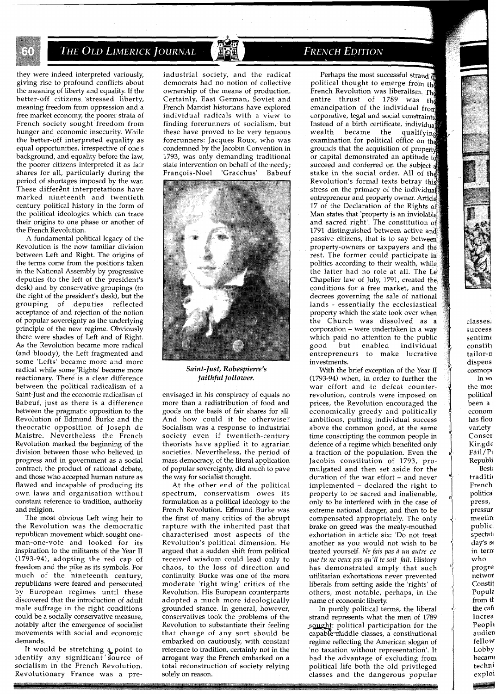## THE OLD LIMERICK JOURNAL

they were indeed interpreted variously, giving rise to profound conflicts about the meaning of liberty and equality. If the better-off citizens stressed liberty, meaning freedom from oppression and a free market economy, the poorer strata of French society sought freedom from hunger and economic insecurity. While the better-off interpreted equality as equal opportunities, irrespective of one's background, and equality before the law, the poorer citizens interpreted it as fair shares for all, particularly during the period of shortages imposed by the war. These different interpretations have marked nineteenth and twentieth century political history in the form of the political ideologies which can trace their origins to one phase or another of the French Revolution.

A fundamental political legacy of the Revolution is the now familiar division between Left and Right. The origins of the terms come from the positions taken in the National Assembly by progressive deputies (to the left of the president's desk) and by conservative groupings (to the right of the president's desk), but the grouping of deputies reflected acceptance of and rejection of the notion of popular sovereignty as the underlying principle of the new regime. Obviously there were shades of Left and of Right. As the Revolution became more radical (and bloody), the Left fragmented and some 'Lefts' became more and more radical while some 'Rights' became more reactionary. There is a clear difference between the political radicalism of a Saint-Just and the economic radicalism of Babeuf, just as there is a difference between the pragmatic opposition to the Revolution of Edmund Burke and the theocratic opposition of Joseph de Maistre. Nevertheless the French Revolution marked the beginning of the division between those who believed in progress and in government as a social contract, the product of rational debate, and those who accepted human nature as flawed and incapable of producing its own laws and organisation without constant reference to tradition, authority and religion.

The most obvious Left wing heir to the Revolution was the democratic republican movement which sought oneman-one-vote and looked for its inspiration to the militants of the Year I1 (1793-94), adopting the red cap of freedom and the pike as its symbols. For much of the nineteenth century, republicans were feared and persecuted by European regimes until these discovered that the introduction of adult male suffrage in the right conditions could be a socially conservative measure, notably after the emergence of socialist movements with social and economic demands.

It would be stretching a point to identify any significant source of socialism in the French Revolution. Revolutionary France was a preindustrial society, and the radical democrats had no notion of collective ownership of the means of production. Certainly, East German, Soviet and French Marxist historians have explored individual radicals with a view to finding forerunners of socialism, but these have proved to be very tenuous forerunners: Jacques Roux, who was condemned by the Jacobin Convention in 1793, was only demanding traditional state intervention on behalf of the needy;<br>François-Noel 'Gracchus' Babeuf Francois-Noel 'Gracchus' Babeuf



*Saint-Just, Robespierre's faithful follower.* 

envisaged in his conspiracy of equals no more than a redistribution of food and goods on the basis of fair shares for all. And how could it be otherwise? Socialism was a response to industrial society even if twentieth-century theorists have applied it to agrarian societies. Nevertheless, the period of mass democracy, of the literal application of popular sovereignty, did much to pave the way for socialist thought.

At the other end of the political spectrum, conservatism owes its formulation as a political ideology to the French Revolution. Edmund Burke was the first of many critics of the abrupt rapture with the inherited past that characterised most aspects of the Revolution's political dimension. He argued that a sudden shift from political received wisdom could lead only to chaos, to the loss of direction and continuity. Burke was one of the more moderate 'right wing' critics of the Revolution. His European counterparts adopted a much more ideologically grounded stance. In general, however, conservatives took the problems of the Revolution to substantiate their feeling that change of any sort should be embarked on cautiously, with constant reference to tradition, certainly not in the arrogant way the French embarked on a total reconstruction of society relying solely on reason.

#### **FRENCH EDITION**

Perhaps the most successful strand political thought to emerge from the French Revolution was liberalism. The entire thrust of 1789 was the emancipation of the individual from corporative, legal and social constraints, Instead of a birth certificate, individual<br>wealth became the qualifying wealth became the examination for political office on the grounds that the acquisition of proper or capital demonstrated an aptitude succeed and conferred on the subject a stake in the social order. All of the Revolution's formal texts betray stress on the primacy of the indivi entrepreneur and property owner. Article 17 of the Declaration of the Rights of Man states that 'property is an inviolable and sacred right'. The constitution of 1791 distinguished between active and passive citizens, that is to say between' property-owners or taxpayers and the rest. The former could participate in politics according to their wealth, while the latter had no role at all. The Le decrees governing the sale of national lands - essentially the ecclesiastical property which the state took over when the Church was dissolved as a corporation - were undertaken in a way which paid no attention to the public<br>good but enabled individual but enabled individual entrepreneurs to make lucrative investments. Chapelier law of July, 1791, created conditions for a free market, and

With the brief exception of the Year I1 (1793-94) when, in order to further the war effort and to defeat counterrevolution, controls were imposed on prices, the Revolution encouraged the economically greedy and politically ambitious, putting individual success above the common good, at the same time conscripting the common people in defence of a regime which benefited only a fraction of the population. Even the Jacobin constitution of 1793, promulgated and then set aside for the duration of the war effort - and never implemented - declared the right to property to be sacred and inalienable, only to be interfered with in the case of extreme national danger, and then to be compensated appropriately. The only brake on greed was the mealy-mouthed exhortation in article six: 'Do not treat another as you would not wish to be treated yourself. *Ne fais* pas *a un autre ce que tu ne veux pas qu'il te soit fait.* History has demonstrated amply that such utilitarian exhortations never prevented liberals from setting aside the 'rights' of others, most notable, perhaps, in the name of economic liberty.

In purely political terms, the liberal strand represents what the men of 1789 sought: political participation for the capable middle classes, a constitutional regime reflecting the American slogan of 'no taxation without representation'. It had the advantage of excluding from political life both the old privileged classes and the dangerous popular

classes, success sentimi constiti tailor-n dispens cosmopi In WI the mos political been a econom has flou variety Conser Kingde  $Fáil/P<sub>1</sub>$ Republi **Besic** traditio French politica press, pressur meetin public spectat day's se in tern who progre networ Constit Popula from th the caft Increa People audien fellow Lobby becam techni

exploi